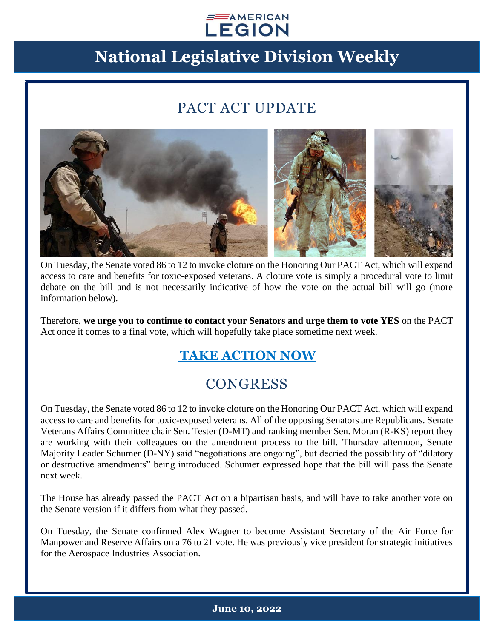#### $\equiv$  AMERICAN **LEGION**

# **National Legislative Division Weekly**

### PACT ACT UPDATE



On Tuesday, the Senate voted 86 to 12 to invoke cloture on the Honoring Our PACT Act, which will expand access to care and benefits for toxic-exposed veterans. A cloture vote is simply a procedural vote to limit debate on the bill and is not necessarily indicative of how the vote on the actual bill will go (more information below).

Therefore, **we urge you to continue to contact your Senators and urge them to vote YES** on the PACT Act once it comes to a final vote, which will hopefully take place sometime next week.

#### **[TAKE ACTION NOW](https://www.votervoice.net/AmericanLegion/Campaigns/87481/Respond)**

### **CONGRESS**

On Tuesday, the Senate voted 86 to 12 to invoke cloture on the Honoring Our PACT Act, which will expand access to care and benefits for toxic-exposed veterans. All of the opposing Senators are Republicans. Senate Veterans Affairs Committee chair Sen. Tester (D-MT) and ranking member Sen. Moran (R-KS) report they are working with their colleagues on the amendment process to the bill. Thursday afternoon, Senate Majority Leader Schumer (D-NY) said "negotiations are ongoing", but decried the possibility of "dilatory or destructive amendments" being introduced. Schumer expressed hope that the bill will pass the Senate next week.

The House has already passed the PACT Act on a bipartisan basis, and will have to take another vote on the Senate version if it differs from what they passed.

On Tuesday, the Senate confirmed Alex Wagner to become Assistant Secretary of the Air Force for Manpower and Reserve Affairs on a 76 to 21 vote. He was previously vice president for strategic initiatives for the Aerospace Industries Association.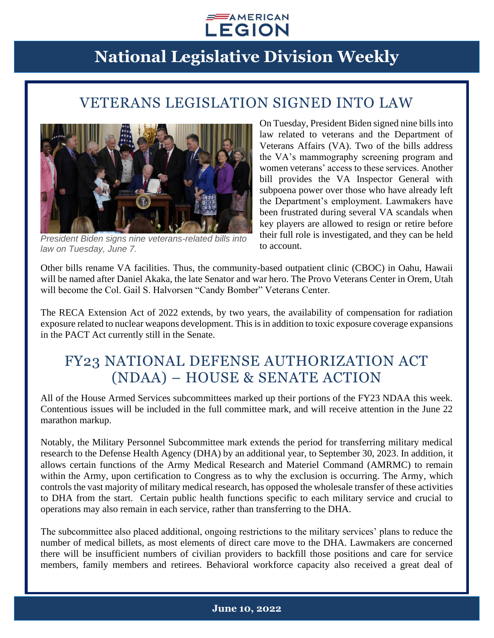

### VETERANS LEGISLATION SIGNED INTO LAW



*President Biden signs nine veterans-related bills into law on Tuesday, June 7.*

On Tuesday, President Biden signed nine bills into law related to veterans and the Department of Veterans Affairs (VA). Two of the bills address the VA's mammography screening program and women veterans' access to these services. Another bill provides the VA Inspector General with subpoena power over those who have already left the Department's employment. Lawmakers have been frustrated during several VA scandals when key players are allowed to resign or retire before their full role is investigated, and they can be held to account.

Other bills rename VA facilities. Thus, the community-based outpatient clinic (CBOC) in Oahu, Hawaii will be named after Daniel Akaka, the late Senator and war hero. The Provo Veterans Center in Orem, Utah will become the Col. Gail S. Halvorsen "Candy Bomber" Veterans Center.

The RECA Extension Act of 2022 extends, by two years, the availability of compensation for radiation exposure related to nuclear weapons development. This is in addition to toxic exposure coverage expansions in the PACT Act currently still in the Senate.

### FY23 NATIONAL DEFENSE AUTHORIZATION ACT (NDAA) – HOUSE & SENATE ACTION

All of the House Armed Services subcommittees marked up their portions of the FY23 NDAA this week. Contentious issues will be included in the full committee mark, and will receive attention in the June 22 marathon markup.

Notably, the Military Personnel Subcommittee mark extends the period for transferring military medical research to the Defense Health Agency (DHA) by an additional year, to September 30, 2023. In addition, it allows certain functions of the Army Medical Research and Materiel Command (AMRMC) to remain within the Army, upon certification to Congress as to why the exclusion is occurring. The Army, which controls the vast majority of military medical research, has opposed the wholesale transfer of these activities to DHA from the start. Certain public health functions specific to each military service and crucial to operations may also remain in each service, rather than transferring to the DHA.

The subcommittee also placed additional, ongoing restrictions to the military services' plans to reduce the number of medical billets, as most elements of direct care move to the DHA. Lawmakers are concerned there will be insufficient numbers of civilian providers to backfill those positions and care for service members, family members and retirees. Behavioral workforce capacity also received a great deal of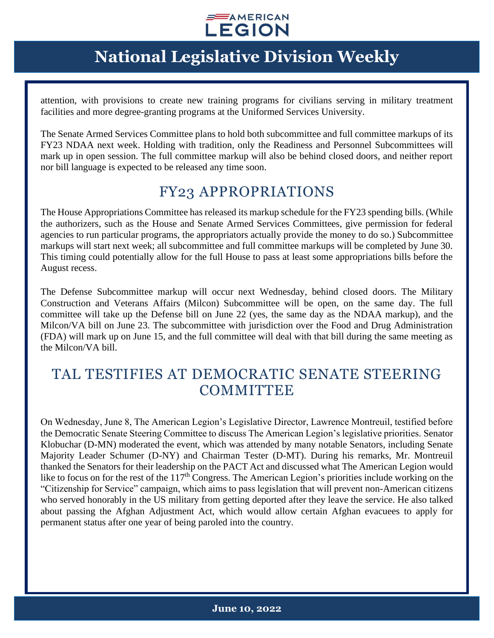

attention, with provisions to create new training programs for civilians serving in military treatment facilities and more degree-granting programs at the Uniformed Services University.

The Senate Armed Services Committee plans to hold both subcommittee and full committee markups of its FY23 NDAA next week. Holding with tradition, only the Readiness and Personnel Subcommittees will mark up in open session. The full committee markup will also be behind closed doors, and neither report nor bill language is expected to be released any time soon.

#### FY23 APPROPRIATIONS

The House Appropriations Committee has released its markup schedule for the FY23 spending bills. (While the authorizers, such as the House and Senate Armed Services Committees, give permission for federal agencies to run particular programs, the appropriators actually provide the money to do so.) Subcommittee markups will start next week; all subcommittee and full committee markups will be completed by June 30. This timing could potentially allow for the full House to pass at least some appropriations bills before the August recess.

The Defense Subcommittee markup will occur next Wednesday, behind closed doors. The Military Construction and Veterans Affairs (Milcon) Subcommittee will be open, on the same day. The full committee will take up the Defense bill on June 22 (yes, the same day as the NDAA markup), and the Milcon/VA bill on June 23. The subcommittee with jurisdiction over the Food and Drug Administration (FDA) will mark up on June 15, and the full committee will deal with that bill during the same meeting as the Milcon/VA bill.

### TAL TESTIFIES AT DEMOCRATIC SENATE STEERING **COMMITTEE**

On Wednesday, June 8, The American Legion's Legislative Director, Lawrence Montreuil, testified before the Democratic Senate Steering Committee to discuss The American Legion's legislative priorities. Senator Klobuchar (D-MN) moderated the event, which was attended by many notable Senators, including Senate Majority Leader Schumer (D-NY) and Chairman Tester (D-MT). During his remarks, Mr. Montreuil thanked the Senators for their leadership on the PACT Act and discussed what The American Legion would like to focus on for the rest of the 117<sup>th</sup> Congress. The American Legion's priorities include working on the "Citizenship for Service" campaign, which aims to pass legislation that will prevent non-American citizens who served honorably in the US military from getting deported after they leave the service. He also talked about passing the Afghan Adjustment Act, which would allow certain Afghan evacuees to apply for permanent status after one year of being paroled into the country.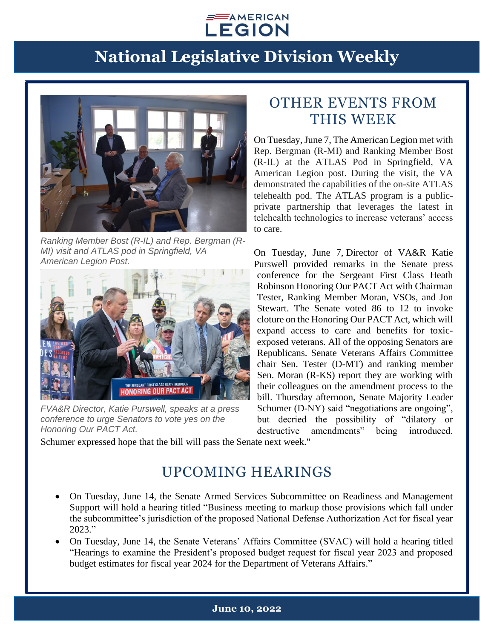



*Ranking Member Bost (R-IL) and Rep. Bergman (R-MI) visit and ATLAS pod in Springfield, VA American Legion Post.*



*FVA&R Director, Katie Purswell, speaks at a press conference to urge Senators to vote yes on the Honoring Our PACT Act.*

#### OTHER EVENTS FROM THIS WEEK

On Tuesday, June 7, The American Legion met with Rep. Bergman (R-MI) and Ranking Member Bost (R-IL) at the ATLAS Pod in Springfield, VA American Legion post. During the visit, the VA demonstrated the capabilities of the on-site ATLAS telehealth pod. The ATLAS program is a publicprivate partnership that leverages the latest in telehealth technologies to increase veterans' access to care.

On Tuesday, June 7, Director of VA&R Katie Purswell provided remarks in the Senate press conference for the Sergeant First Class Heath Robinson Honoring Our PACT Act with Chairman Tester, Ranking Member Moran, VSOs, and Jon Stewart. The Senate voted 86 to 12 to invoke cloture on the Honoring Our PACT Act, which will expand access to care and benefits for toxicexposed veterans. All of the opposing Senators are Republicans. Senate Veterans Affairs Committee chair Sen. Tester (D-MT) and ranking member Sen. Moran (R-KS) report they are working with their colleagues on the amendment process to the bill. Thursday afternoon, Senate Majority Leader Schumer (D-NY) said "negotiations are ongoing", but decried the possibility of "dilatory or destructive amendments" being introduced.

Schumer expressed hope that the bill will pass the Senate next week."

### UPCOMING HEARINGS

- On Tuesday, June 14, the Senate Armed Services Subcommittee on Readiness and Management Support will hold a hearing titled "Business meeting to markup those provisions which fall under the subcommittee's jurisdiction of the proposed National Defense Authorization Act for fiscal year 2023."
- On Tuesday, June 14, the Senate Veterans' Affairs Committee (SVAC) will hold a hearing titled "Hearings to examine the President's proposed budget request for fiscal year 2023 and proposed budget estimates for fiscal year 2024 for the Department of Veterans Affairs."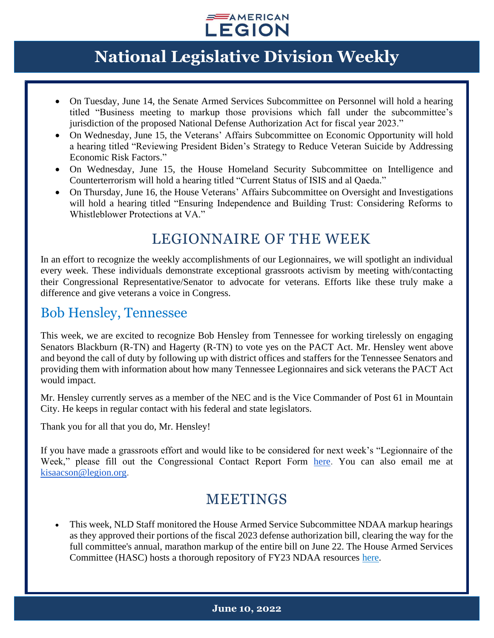

- On Tuesday, June 14, the Senate Armed Services Subcommittee on Personnel will hold a hearing titled "Business meeting to markup those provisions which fall under the subcommittee's jurisdiction of the proposed National Defense Authorization Act for fiscal year 2023."
- On Wednesday, June 15, the Veterans' Affairs Subcommittee on Economic Opportunity will hold a hearing titled "Reviewing President Biden's Strategy to Reduce Veteran Suicide by Addressing Economic Risk Factors."
- On Wednesday, June 15, the House Homeland Security Subcommittee on Intelligence and Counterterrorism will hold a hearing titled "Current Status of ISIS and al Qaeda."
- On Thursday, June 16, the House Veterans' Affairs Subcommittee on Oversight and Investigations will hold a hearing titled "Ensuring Independence and Building Trust: Considering Reforms to Whistleblower Protections at VA."

#### LEGIONNAIRE OF THE WEEK

In an effort to recognize the weekly accomplishments of our Legionnaires, we will spotlight an individual every week. These individuals demonstrate exceptional grassroots activism by meeting with/contacting their Congressional Representative/Senator to advocate for veterans. Efforts like these truly make a difference and give veterans a voice in Congress.

#### Bob Hensley, Tennessee

This week, we are excited to recognize Bob Hensley from Tennessee for working tirelessly on engaging Senators Blackburn (R-TN) and Hagerty (R-TN) to vote yes on the PACT Act. Mr. Hensley went above and beyond the call of duty by following up with district offices and staffers for the Tennessee Senators and providing them with information about how many Tennessee Legionnaires and sick veterans the PACT Act would impact.

Mr. Hensley currently serves as a member of the NEC and is the Vice Commander of Post 61 in Mountain City. He keeps in regular contact with his federal and state legislators.

Thank you for all that you do, Mr. Hensley!

If you have made a grassroots effort and would like to be considered for next week's "Legionnaire of the Week," please fill out the Congressional Contact Report Form [here.](https://www.legion.org/legislative/aar) You can also email me at [kisaacson@legion.org.](mailto:kisaacson@legion.org)

### MEETINGS

• This week, NLD Staff monitored the House Armed Service Subcommittee NDAA markup hearings as they approved their portions of the fiscal 2023 defense authorization bill, clearing the way for the full committee's annual, marathon markup of the entire bill on June 22. The House Armed Services Committee (HASC) hosts a thorough repository of FY23 NDAA resources [here.](https://armedservices.house.gov/ndaa)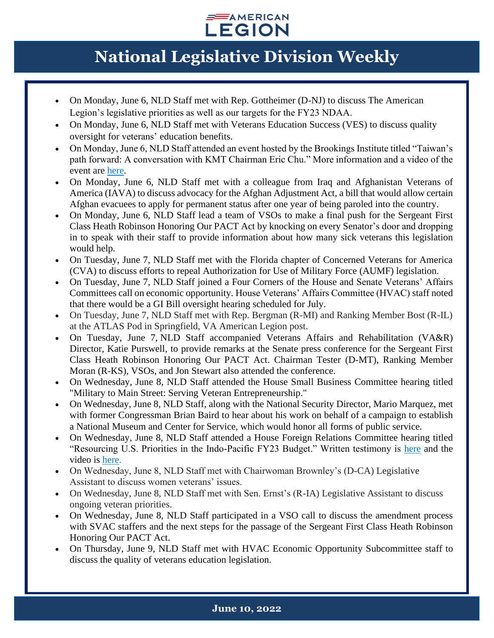

- On Monday, June 6, NLD Staff met with Rep. Gottheimer (D-NJ) to discuss The American Legion's legislative priorities as well as our targets for the FY23 NDAA.
- On Monday, June 6, NLD Staff met with Veterans Education Success (VES) to discuss quality oversight for veterans' education benefits.
- On Monday, June 6, NLD Staff attended an event hosted by the Brookings Institute titled "Taiwan's path forward: A conversation with KMT Chairman Eric Chu." More information and a video of the event are [here.](https://www.brookings.edu/events/taiwans-path-forward-a-conversation-with-kmt-chairman-eric-chu/)
- On Monday, June 6, NLD Staff met with a colleague from Iraq and Afghanistan Veterans of America (IAVA) to discuss advocacy for the Afghan Adjustment Act, a bill that would allow certain Afghan evacuees to apply for permanent status after one year of being paroled into the country.
- On Monday, June 6, NLD Staff lead a team of VSOs to make a final push for the Sergeant First Class Heath Robinson Honoring Our PACT Act by knocking on every Senator's door and dropping in to speak with their staff to provide information about how many sick veterans this legislation would help.
- On Tuesday, June 7, NLD Staff met with the Florida chapter of Concerned Veterans for America (CVA) to discuss efforts to repeal Authorization for Use of Military Force (AUMF) legislation.
- On Tuesday, June 7, NLD Staff joined a Four Corners of the House and Senate Veterans' Affairs Committees call on economic opportunity. House Veterans' Affairs Committee (HVAC) staff noted that there would be a GI Bill oversight hearing scheduled for July.
- On Tuesday, June 7, NLD Staff met with Rep. Bergman (R-MI) and Ranking Member Bost (R-IL) at the ATLAS Pod in Springfield, VA American Legion post.
- On Tuesday, June 7, NLD Staff accompanied Veterans Affairs and Rehabilitation (VA&R) Director, Katie Purswell, to provide remarks at the Senate press conference for the Sergeant First Class Heath Robinson Honoring Our PACT Act. Chairman Tester (D-MT), Ranking Member Moran (R-KS), VSOs, and Jon Stewart also attended the conference.
- On Wednesday, June 8, NLD Staff attended the House Small Business Committee hearing titled "Military to Main Street: Serving Veteran Entrepreneurship."
- On Wednesday, June 8, NLD Staff, along with the National Security Director, Mario Marquez, met with former Congressman Brian Baird to hear about his work on behalf of a campaign to establish a National Museum and Center for Service, which would honor all forms of public service.
- On Wednesday, June 8, NLD Staff attended a House Foreign Relations Committee hearing titled "Resourcing U.S. Priorities in the Indo-Pacific FY23 Budget." Written testimony is [here](https://docs.house.gov/Committee/Calendar/ByEvent.aspx?EventID=114878) and the video is [here.](https://foreignaffairs.house.gov/hearings?ID=C5B2A973-6A08-4DB9-9D54-E8CA484BC01F)
- On Wednesday, June 8, NLD Staff met with Chairwoman Brownley's (D-CA) Legislative Assistant to discuss women veterans' issues.
- On Wednesday, June 8, NLD Staff met with Sen. Ernst's (R-IA) Legislative Assistant to discuss ongoing veteran priorities.
- On Wednesday, June 8, NLD Staff participated in a VSO call to discuss the amendment process with SVAC staffers and the next steps for the passage of the Sergeant First Class Heath Robinson Honoring Our PACT Act.
- On Thursday, June 9, NLD Staff met with HVAC Economic Opportunity Subcommittee staff to discuss the quality of veterans education legislation.